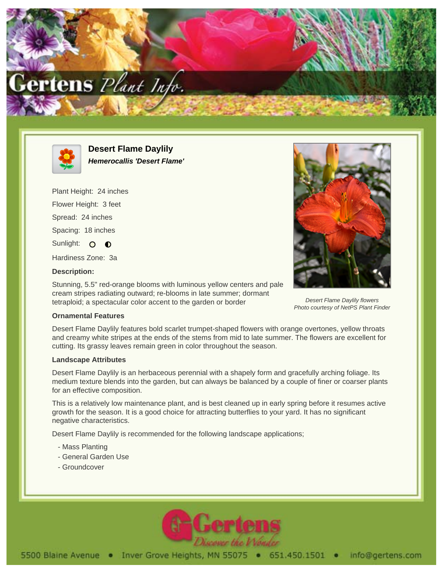



**Desert Flame Daylily Hemerocallis 'Desert Flame'**

Plant Height: 24 inches Flower Height: 3 feet Spread: 24 inches Spacing: 18 inches Sunlight: O O

Hardiness Zone: 3a

## **Description:**

Stunning, 5.5" red-orange blooms with luminous yellow centers and pale cream stripes radiating outward; re-blooms in late summer; dormant tetraploid; a spectacular color accent to the garden or border



Desert Flame Daylily flowers Photo courtesy of NetPS Plant Finder

## **Ornamental Features**

Desert Flame Daylily features bold scarlet trumpet-shaped flowers with orange overtones, yellow throats and creamy white stripes at the ends of the stems from mid to late summer. The flowers are excellent for cutting. Its grassy leaves remain green in color throughout the season.

## **Landscape Attributes**

Desert Flame Daylily is an herbaceous perennial with a shapely form and gracefully arching foliage. Its medium texture blends into the garden, but can always be balanced by a couple of finer or coarser plants for an effective composition.

This is a relatively low maintenance plant, and is best cleaned up in early spring before it resumes active growth for the season. It is a good choice for attracting butterflies to your yard. It has no significant negative characteristics.

Desert Flame Daylily is recommended for the following landscape applications;

- Mass Planting
- General Garden Use
- Groundcover